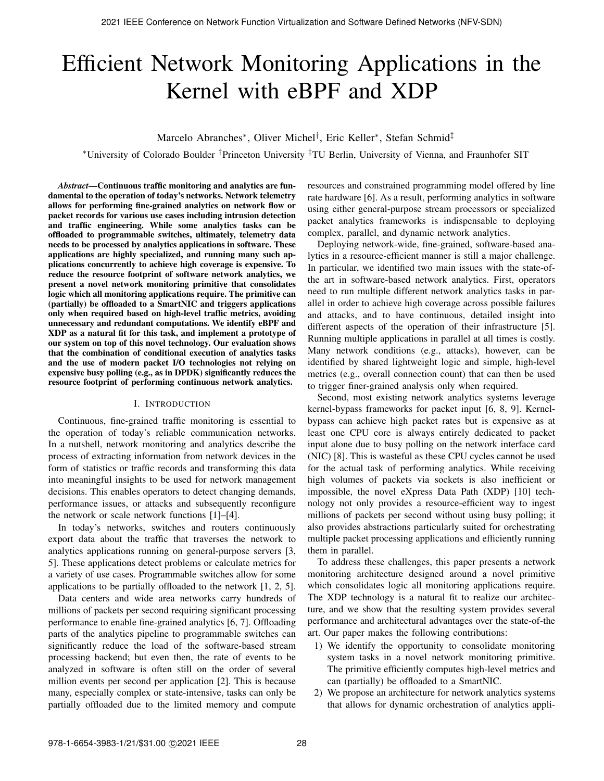# Efficient Network Monitoring Applications in the Kernel with eBPF and XDP

Marcelo Abranches∗, Oliver Michel†, Eric Keller∗, Stefan Schmid‡

∗University of Colorado Boulder †Princeton University ‡TU Berlin, University of Vienna, and Fraunhofer SIT

*Abstract*—Continuous traffic monitoring and analytics are fundamental to the operation of today's networks. Network telemetry allows for performing fine-grained analytics on network flow or packet records for various use cases including intrusion detection and traffic engineering. While some analytics tasks can be offloaded to programmable switches, ultimately, telemetry data needs to be processed by analytics applications in software. These applications are highly specialized, and running many such applications concurrently to achieve high coverage is expensive. To reduce the resource footprint of software network analytics, we present a novel network monitoring primitive that consolidates logic which all monitoring applications require. The primitive can (partially) be offloaded to a SmartNIC and triggers applications only when required based on high-level traffic metrics, avoiding unnecessary and redundant computations. We identify eBPF and XDP as a natural fit for this task, and implement a prototype of our system on top of this novel technology. Our evaluation shows that the combination of conditional execution of analytics tasks and the use of modern packet I/O technologies not relying on expensive busy polling (e.g., as in DPDK) significantly reduces the resource footprint of performing continuous network analytics.

## I. INTRODUCTION

Continuous, fine-grained traffic monitoring is essential to the operation of today's reliable communication networks. In a nutshell, network monitoring and analytics describe the process of extracting information from network devices in the form of statistics or traffic records and transforming this data into meaningful insights to be used for network management decisions. This enables operators to detect changing demands, performance issues, or attacks and subsequently reconfigure the network or scale network functions [1]–[4].

In today's networks, switches and routers continuously export data about the traffic that traverses the network to analytics applications running on general-purpose servers [3, 5]. These applications detect problems or calculate metrics for a variety of use cases. Programmable switches allow for some applications to be partially offloaded to the network [1, 2, 5].

Data centers and wide area networks carry hundreds of millions of packets per second requiring significant processing performance to enable fine-grained analytics [6, 7]. Offloading parts of the analytics pipeline to programmable switches can significantly reduce the load of the software-based stream processing backend; but even then, the rate of events to be analyzed in software is often still on the order of several million events per second per application [2]. This is because many, especially complex or state-intensive, tasks can only be partially offloaded due to the limited memory and compute

resources and constrained programming model offered by line rate hardware [6]. As a result, performing analytics in software using either general-purpose stream processors or specialized packet analytics frameworks is indispensable to deploying complex, parallel, and dynamic network analytics.

Deploying network-wide, fine-grained, software-based analytics in a resource-efficient manner is still a major challenge. In particular, we identified two main issues with the state-ofthe art in software-based network analytics. First, operators need to run multiple different network analytics tasks in parallel in order to achieve high coverage across possible failures and attacks, and to have continuous, detailed insight into different aspects of the operation of their infrastructure [5]. Running multiple applications in parallel at all times is costly. Many network conditions (e.g., attacks), however, can be identified by shared lightweight logic and simple, high-level metrics (e.g., overall connection count) that can then be used to trigger finer-grained analysis only when required.

Second, most existing network analytics systems leverage kernel-bypass frameworks for packet input [6, 8, 9]. Kernelbypass can achieve high packet rates but is expensive as at least one CPU core is always entirely dedicated to packet input alone due to busy polling on the network interface card (NIC) [8]. This is wasteful as these CPU cycles cannot be used for the actual task of performing analytics. While receiving high volumes of packets via sockets is also inefficient or impossible, the novel eXpress Data Path (XDP) [10] technology not only provides a resource-efficient way to ingest millions of packets per second without using busy polling; it also provides abstractions particularly suited for orchestrating multiple packet processing applications and efficiently running them in parallel.

To address these challenges, this paper presents a network monitoring architecture designed around a novel primitive which consolidates logic all monitoring applications require. The XDP technology is a natural fit to realize our architecture, and we show that the resulting system provides several performance and architectural advantages over the state-of-the art. Our paper makes the following contributions:

- 1) We identify the opportunity to consolidate monitoring system tasks in a novel network monitoring primitive. The primitive efficiently computes high-level metrics and can (partially) be offloaded to a SmartNIC.
- 2) We propose an architecture for network analytics systems that allows for dynamic orchestration of analytics appli-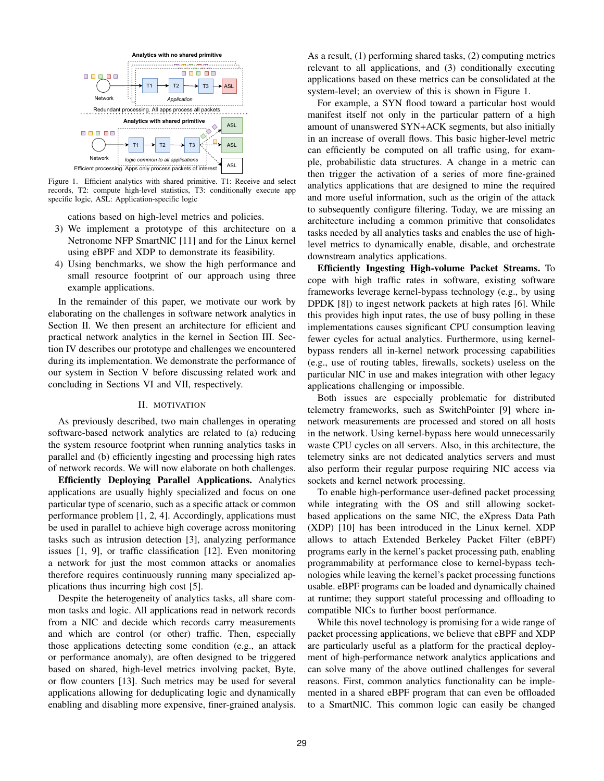

Figure 1. Efficient analytics with shared primitive. T1: Receive and select records, T2: compute high-level statistics, T3: conditionally execute app specific logic, ASL: Application-specific logic

cations based on high-level metrics and policies.

- 3) We implement a prototype of this architecture on a Netronome NFP SmartNIC [11] and for the Linux kernel using eBPF and XDP to demonstrate its feasibility.
- 4) Using benchmarks, we show the high performance and small resource footprint of our approach using three example applications.

In the remainder of this paper, we motivate our work by elaborating on the challenges in software network analytics in Section II. We then present an architecture for efficient and practical network analytics in the kernel in Section III. Section IV describes our prototype and challenges we encountered during its implementation. We demonstrate the performance of our system in Section V before discussing related work and concluding in Sections VI and VII, respectively.

## II. MOTIVATION

As previously described, two main challenges in operating software-based network analytics are related to (a) reducing the system resource footprint when running analytics tasks in parallel and (b) efficiently ingesting and processing high rates of network records. We will now elaborate on both challenges.

Efficiently Deploying Parallel Applications. Analytics applications are usually highly specialized and focus on one particular type of scenario, such as a specific attack or common performance problem [1, 2, 4]. Accordingly, applications must be used in parallel to achieve high coverage across monitoring tasks such as intrusion detection [3], analyzing performance issues [1, 9], or traffic classification [12]. Even monitoring a network for just the most common attacks or anomalies therefore requires continuously running many specialized applications thus incurring high cost [5].

Despite the heterogeneity of analytics tasks, all share common tasks and logic. All applications read in network records from a NIC and decide which records carry measurements and which are control (or other) traffic. Then, especially those applications detecting some condition (e.g., an attack or performance anomaly), are often designed to be triggered based on shared, high-level metrics involving packet, Byte, or flow counters [13]. Such metrics may be used for several applications allowing for deduplicating logic and dynamically enabling and disabling more expensive, finer-grained analysis. As a result, (1) performing shared tasks, (2) computing metrics relevant to all applications, and (3) conditionally executing applications based on these metrics can be consolidated at the system-level; an overview of this is shown in Figure 1.

For example, a SYN flood toward a particular host would manifest itself not only in the particular pattern of a high amount of unanswered SYN+ACK segments, but also initially in an increase of overall flows. This basic higher-level metric can efficiently be computed on all traffic using, for example, probabilistic data structures. A change in a metric can then trigger the activation of a series of more fine-grained analytics applications that are designed to mine the required and more useful information, such as the origin of the attack to subsequently configure filtering. Today, we are missing an architecture including a common primitive that consolidates tasks needed by all analytics tasks and enables the use of highlevel metrics to dynamically enable, disable, and orchestrate downstream analytics applications.

Efficiently Ingesting High-volume Packet Streams. To cope with high traffic rates in software, existing software frameworks leverage kernel-bypass technology (e.g., by using DPDK [8]) to ingest network packets at high rates [6]. While this provides high input rates, the use of busy polling in these implementations causes significant CPU consumption leaving fewer cycles for actual analytics. Furthermore, using kernelbypass renders all in-kernel network processing capabilities (e.g., use of routing tables, firewalls, sockets) useless on the particular NIC in use and makes integration with other legacy applications challenging or impossible.

Both issues are especially problematic for distributed telemetry frameworks, such as SwitchPointer [9] where innetwork measurements are processed and stored on all hosts in the network. Using kernel-bypass here would unnecessarily waste CPU cycles on all servers. Also, in this architecture, the telemetry sinks are not dedicated analytics servers and must also perform their regular purpose requiring NIC access via sockets and kernel network processing.

To enable high-performance user-defined packet processing while integrating with the OS and still allowing socketbased applications on the same NIC, the eXpress Data Path (XDP) [10] has been introduced in the Linux kernel. XDP allows to attach Extended Berkeley Packet Filter (eBPF) programs early in the kernel's packet processing path, enabling programmability at performance close to kernel-bypass technologies while leaving the kernel's packet processing functions usable. eBPF programs can be loaded and dynamically chained at runtime; they support stateful processing and offloading to compatible NICs to further boost performance.

While this novel technology is promising for a wide range of packet processing applications, we believe that eBPF and XDP are particularly useful as a platform for the practical deployment of high-performance network analytics applications and can solve many of the above outlined challenges for several reasons. First, common analytics functionality can be implemented in a shared eBPF program that can even be offloaded to a SmartNIC. This common logic can easily be changed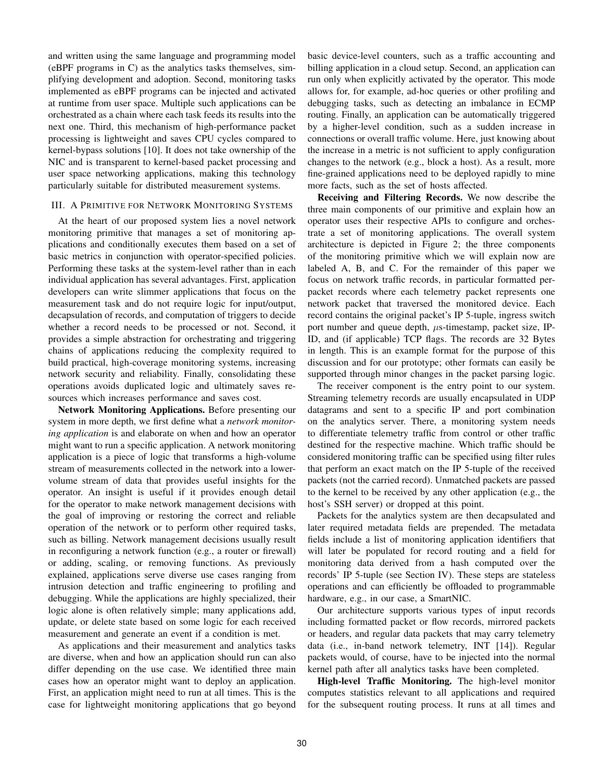and written using the same language and programming model (eBPF programs in C) as the analytics tasks themselves, simplifying development and adoption. Second, monitoring tasks implemented as eBPF programs can be injected and activated at runtime from user space. Multiple such applications can be orchestrated as a chain where each task feeds its results into the next one. Third, this mechanism of high-performance packet processing is lightweight and saves CPU cycles compared to kernel-bypass solutions [10]. It does not take ownership of the NIC and is transparent to kernel-based packet processing and user space networking applications, making this technology particularly suitable for distributed measurement systems.

## III. A PRIMITIVE FOR NETWORK MONITORING SYSTEMS

At the heart of our proposed system lies a novel network monitoring primitive that manages a set of monitoring applications and conditionally executes them based on a set of basic metrics in conjunction with operator-specified policies. Performing these tasks at the system-level rather than in each individual application has several advantages. First, application developers can write slimmer applications that focus on the measurement task and do not require logic for input/output, decapsulation of records, and computation of triggers to decide whether a record needs to be processed or not. Second, it provides a simple abstraction for orchestrating and triggering chains of applications reducing the complexity required to build practical, high-coverage monitoring systems, increasing network security and reliability. Finally, consolidating these operations avoids duplicated logic and ultimately saves resources which increases performance and saves cost.

Network Monitoring Applications. Before presenting our system in more depth, we first define what a *network monitoring application* is and elaborate on when and how an operator might want to run a specific application. A network monitoring application is a piece of logic that transforms a high-volume stream of measurements collected in the network into a lowervolume stream of data that provides useful insights for the operator. An insight is useful if it provides enough detail for the operator to make network management decisions with the goal of improving or restoring the correct and reliable operation of the network or to perform other required tasks, such as billing. Network management decisions usually result in reconfiguring a network function (e.g., a router or firewall) or adding, scaling, or removing functions. As previously explained, applications serve diverse use cases ranging from intrusion detection and traffic engineering to profiling and debugging. While the applications are highly specialized, their logic alone is often relatively simple; many applications add, update, or delete state based on some logic for each received measurement and generate an event if a condition is met.

As applications and their measurement and analytics tasks are diverse, when and how an application should run can also differ depending on the use case. We identified three main cases how an operator might want to deploy an application. First, an application might need to run at all times. This is the case for lightweight monitoring applications that go beyond basic device-level counters, such as a traffic accounting and billing application in a cloud setup. Second, an application can run only when explicitly activated by the operator. This mode allows for, for example, ad-hoc queries or other profiling and debugging tasks, such as detecting an imbalance in ECMP routing. Finally, an application can be automatically triggered by a higher-level condition, such as a sudden increase in connections or overall traffic volume. Here, just knowing about the increase in a metric is not sufficient to apply configuration changes to the network (e.g., block a host). As a result, more fine-grained applications need to be deployed rapidly to mine more facts, such as the set of hosts affected.

Receiving and Filtering Records. We now describe the three main components of our primitive and explain how an operator uses their respective APIs to configure and orchestrate a set of monitoring applications. The overall system architecture is depicted in Figure 2; the three components of the monitoring primitive which we will explain now are labeled A, B, and C. For the remainder of this paper we focus on network traffic records, in particular formatted perpacket records where each telemetry packet represents one network packet that traversed the monitored device. Each record contains the original packet's IP 5-tuple, ingress switch port number and queue depth,  $\mu$ s-timestamp, packet size, IP-ID, and (if applicable) TCP flags. The records are 32 Bytes in length. This is an example format for the purpose of this discussion and for our prototype; other formats can easily be supported through minor changes in the packet parsing logic.

The receiver component is the entry point to our system. Streaming telemetry records are usually encapsulated in UDP datagrams and sent to a specific IP and port combination on the analytics server. There, a monitoring system needs to differentiate telemetry traffic from control or other traffic destined for the respective machine. Which traffic should be considered monitoring traffic can be specified using filter rules that perform an exact match on the IP 5-tuple of the received packets (not the carried record). Unmatched packets are passed to the kernel to be received by any other application (e.g., the host's SSH server) or dropped at this point.

Packets for the analytics system are then decapsulated and later required metadata fields are prepended. The metadata fields include a list of monitoring application identifiers that will later be populated for record routing and a field for monitoring data derived from a hash computed over the records' IP 5-tuple (see Section IV). These steps are stateless operations and can efficiently be offloaded to programmable hardware, e.g., in our case, a SmartNIC.

Our architecture supports various types of input records including formatted packet or flow records, mirrored packets or headers, and regular data packets that may carry telemetry data (i.e., in-band network telemetry, INT [14]). Regular packets would, of course, have to be injected into the normal kernel path after all analytics tasks have been completed.

High-level Traffic Monitoring. The high-level monitor computes statistics relevant to all applications and required for the subsequent routing process. It runs at all times and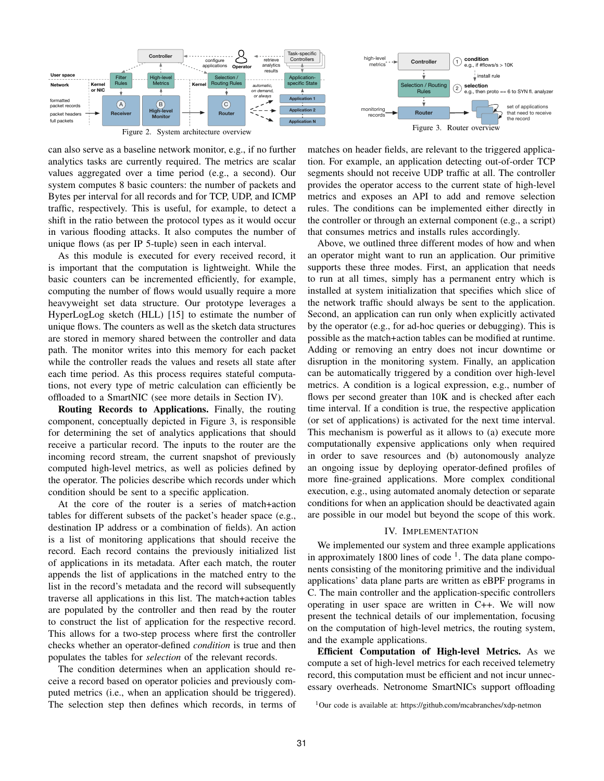

Figure 2. System architecture overview

Figure 3. Router overview matches on header fields, are relevant to the triggered applica-

can also serve as a baseline network monitor, e.g., if no further analytics tasks are currently required. The metrics are scalar values aggregated over a time period (e.g., a second). Our system computes 8 basic counters: the number of packets and Bytes per interval for all records and for TCP, UDP, and ICMP traffic, respectively. This is useful, for example, to detect a shift in the ratio between the protocol types as it would occur in various flooding attacks. It also computes the number of unique flows (as per IP 5-tuple) seen in each interval.

As this module is executed for every received record, it is important that the computation is lightweight. While the basic counters can be incremented efficiently, for example, computing the number of flows would usually require a more heavyweight set data structure. Our prototype leverages a HyperLogLog sketch (HLL) [15] to estimate the number of unique flows. The counters as well as the sketch data structures are stored in memory shared between the controller and data path. The monitor writes into this memory for each packet while the controller reads the values and resets all state after each time period. As this process requires stateful computations, not every type of metric calculation can efficiently be offloaded to a SmartNIC (see more details in Section IV).

Routing Records to Applications. Finally, the routing component, conceptually depicted in Figure 3, is responsible for determining the set of analytics applications that should receive a particular record. The inputs to the router are the incoming record stream, the current snapshot of previously computed high-level metrics, as well as policies defined by the operator. The policies describe which records under which condition should be sent to a specific application.

At the core of the router is a series of match+action tables for different subsets of the packet's header space (e.g., destination IP address or a combination of fields). An action is a list of monitoring applications that should receive the record. Each record contains the previously initialized list of applications in its metadata. After each match, the router appends the list of applications in the matched entry to the list in the record's metadata and the record will subsequently traverse all applications in this list. The match+action tables are populated by the controller and then read by the router to construct the list of application for the respective record. This allows for a two-step process where first the controller checks whether an operator-defined *condition* is true and then populates the tables for *selection* of the relevant records.

The condition determines when an application should receive a record based on operator policies and previously computed metrics (i.e., when an application should be triggered). The selection step then defines which records, in terms of tion. For example, an application detecting out-of-order TCP segments should not receive UDP traffic at all. The controller provides the operator access to the current state of high-level metrics and exposes an API to add and remove selection rules. The conditions can be implemented either directly in the controller or through an external component (e.g., a script) that consumes metrics and installs rules accordingly.

Above, we outlined three different modes of how and when an operator might want to run an application. Our primitive supports these three modes. First, an application that needs to run at all times, simply has a permanent entry which is installed at system initialization that specifies which slice of the network traffic should always be sent to the application. Second, an application can run only when explicitly activated by the operator (e.g., for ad-hoc queries or debugging). This is possible as the match+action tables can be modified at runtime. Adding or removing an entry does not incur downtime or disruption in the monitoring system. Finally, an application can be automatically triggered by a condition over high-level metrics. A condition is a logical expression, e.g., number of flows per second greater than 10K and is checked after each time interval. If a condition is true, the respective application (or set of applications) is activated for the next time interval. This mechanism is powerful as it allows to (a) execute more computationally expensive applications only when required in order to save resources and (b) autonomously analyze an ongoing issue by deploying operator-defined profiles of more fine-grained applications. More complex conditional execution, e.g., using automated anomaly detection or separate conditions for when an application should be deactivated again are possible in our model but beyond the scope of this work.

# IV. IMPLEMENTATION

We implemented our system and three example applications in approximately 1800 lines of code<sup> $1$ </sup>. The data plane components consisting of the monitoring primitive and the individual applications' data plane parts are written as eBPF programs in C. The main controller and the application-specific controllers operating in user space are written in C++. We will now present the technical details of our implementation, focusing on the computation of high-level metrics, the routing system, and the example applications.

Efficient Computation of High-level Metrics. As we compute a set of high-level metrics for each received telemetry record, this computation must be efficient and not incur unnecessary overheads. Netronome SmartNICs support offloading

<sup>1</sup>Our code is available at: https://github.com/mcabranches/xdp-netmon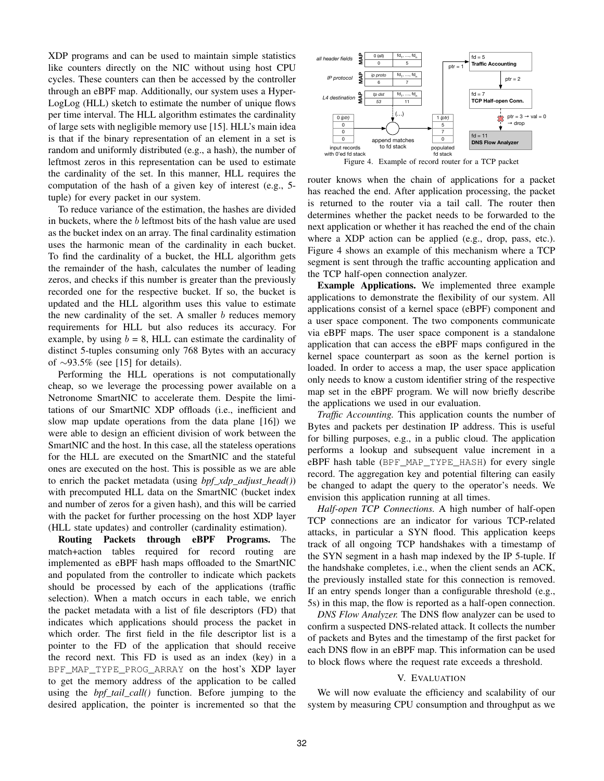XDP programs and can be used to maintain simple statistics like counters directly on the NIC without using host CPU cycles. These counters can then be accessed by the controller through an eBPF map. Additionally, our system uses a Hyper-LogLog (HLL) sketch to estimate the number of unique flows per time interval. The HLL algorithm estimates the cardinality of large sets with negligible memory use [15]. HLL's main idea is that if the binary representation of an element in a set is random and uniformly distributed (e.g., a hash), the number of leftmost zeros in this representation can be used to estimate the cardinality of the set. In this manner, HLL requires the computation of the hash of a given key of interest (e.g., 5 tuple) for every packet in our system.

To reduce variance of the estimation, the hashes are divided in buckets, where the  $b$  leftmost bits of the hash value are used as the bucket index on an array. The final cardinality estimation uses the harmonic mean of the cardinality in each bucket. To find the cardinality of a bucket, the HLL algorithm gets the remainder of the hash, calculates the number of leading zeros, and checks if this number is greater than the previously recorded one for the respective bucket. If so, the bucket is updated and the HLL algorithm uses this value to estimate the new cardinality of the set. A smaller  $b$  reduces memory requirements for HLL but also reduces its accuracy. For example, by using  $b = 8$ , HLL can estimate the cardinality of distinct 5-tuples consuming only 768 Bytes with an accuracy of ∼93.5% (see [15] for details).

Performing the HLL operations is not computationally cheap, so we leverage the processing power available on a Netronome SmartNIC to accelerate them. Despite the limitations of our SmartNIC XDP offloads (i.e., inefficient and slow map update operations from the data plane [16]) we were able to design an efficient division of work between the SmartNIC and the host. In this case, all the stateless operations for the HLL are executed on the SmartNIC and the stateful ones are executed on the host. This is possible as we are able to enrich the packet metadata (using *bpf\_xdp\_adjust\_head()*) with precomputed HLL data on the SmartNIC (bucket index and number of zeros for a given hash), and this will be carried with the packet for further processing on the host XDP layer (HLL state updates) and controller (cardinality estimation).

Routing Packets through eBPF Programs. The match+action tables required for record routing are implemented as eBPF hash maps offloaded to the SmartNIC and populated from the controller to indicate which packets should be processed by each of the applications (traffic selection). When a match occurs in each table, we enrich the packet metadata with a list of file descriptors (FD) that indicates which applications should process the packet in which order. The first field in the file descriptor list is a pointer to the FD of the application that should receive the record next. This FD is used as an index (key) in a BPF MAP TYPE PROG ARRAY on the host's XDP layer to get the memory address of the application to be called using the *bpf\_tail\_call()* function. Before jumping to the desired application, the pointer is incremented so that the



router knows when the chain of applications for a packet has reached the end. After application processing, the packet is returned to the router via a tail call. The router then determines whether the packet needs to be forwarded to the next application or whether it has reached the end of the chain where a XDP action can be applied (e.g., drop, pass, etc.). Figure 4 shows an example of this mechanism where a TCP segment is sent through the traffic accounting application and the TCP half-open connection analyzer.

Example Applications. We implemented three example applications to demonstrate the flexibility of our system. All applications consist of a kernel space (eBPF) component and a user space component. The two components communicate via eBPF maps. The user space component is a standalone application that can access the eBPF maps configured in the kernel space counterpart as soon as the kernel portion is loaded. In order to access a map, the user space application only needs to know a custom identifier string of the respective map set in the eBPF program. We will now briefly describe the applications we used in our evaluation.

*Traffic Accounting.* This application counts the number of Bytes and packets per destination IP address. This is useful for billing purposes, e.g., in a public cloud. The application performs a lookup and subsequent value increment in a eBPF hash table (BPF\_MAP\_TYPE\_HASH) for every single record. The aggregation key and potential filtering can easily be changed to adapt the query to the operator's needs. We envision this application running at all times.

*Half-open TCP Connections.* A high number of half-open TCP connections are an indicator for various TCP-related attacks, in particular a SYN flood. This application keeps track of all ongoing TCP handshakes with a timestamp of the SYN segment in a hash map indexed by the IP 5-tuple. If the handshake completes, i.e., when the client sends an ACK, the previously installed state for this connection is removed. If an entry spends longer than a configurable threshold (e.g., 5s) in this map, the flow is reported as a half-open connection.

*DNS Flow Analyzer.* The DNS flow analyzer can be used to confirm a suspected DNS-related attack. It collects the number of packets and Bytes and the timestamp of the first packet for each DNS flow in an eBPF map. This information can be used to block flows where the request rate exceeds a threshold.

# V. EVALUATION

We will now evaluate the efficiency and scalability of our system by measuring CPU consumption and throughput as we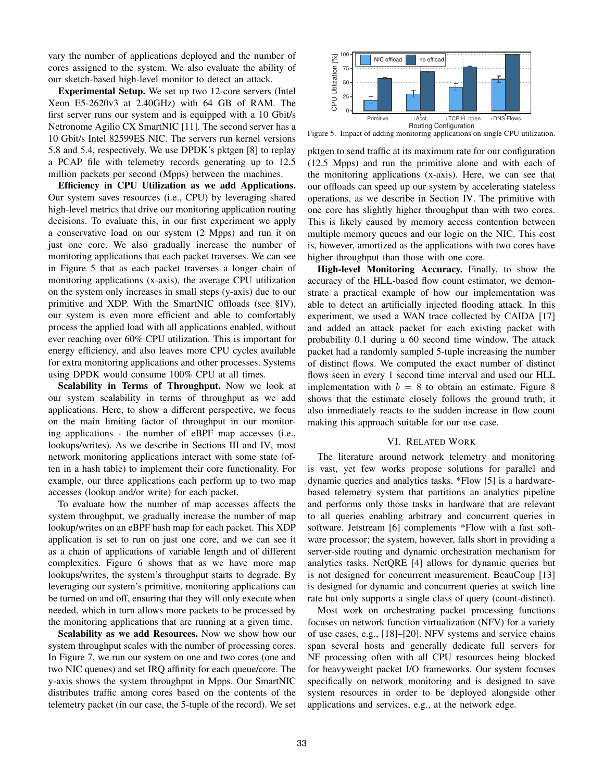vary the number of applications deployed and the number of cores assigned to the system. We also evaluate the ability of our sketch-based high-level monitor to detect an attack.

Experimental Setup. We set up two 12-core servers (Intel Xeon E5-2620v3 at 2.40GHz) with 64 GB of RAM. The first server runs our system and is equipped with a 10 Gbit/s Netronome Agilio CX SmartNIC [11]. The second server has a 10 Gbit/s Intel 82599ES NIC. The servers run kernel versions 5.8 and 5.4, respectively. We use DPDK's pktgen [8] to replay a PCAP file with telemetry records generating up to 12.5 million packets per second (Mpps) between the machines.

Efficiency in CPU Utilization as we add Applications. Our system saves resources (i.e., CPU) by leveraging shared high-level metrics that drive our monitoring application routing decisions. To evaluate this, in our first experiment we apply a conservative load on our system (2 Mpps) and run it on just one core. We also gradually increase the number of monitoring applications that each packet traverses. We can see in Figure 5 that as each packet traverses a longer chain of monitoring applications (x-axis), the average CPU utilization on the system only increases in small steps (y-axis) due to our primitive and XDP. With the SmartNIC offloads (see §IV), our system is even more efficient and able to comfortably process the applied load with all applications enabled, without ever reaching over 60% CPU utilization. This is important for energy efficiency, and also leaves more CPU cycles available for extra monitoring applications and other processes. Systems using DPDK would consume 100% CPU at all times.

Scalability in Terms of Throughput. Now we look at our system scalability in terms of throughput as we add applications. Here, to show a different perspective, we focus on the main limiting factor of throughput in our monitoring applications - the number of eBPF map accesses (i.e., lookups/writes). As we describe in Sections III and IV, most network monitoring applications interact with some state (often in a hash table) to implement their core functionality. For example, our three applications each perform up to two map accesses (lookup and/or write) for each packet.

To evaluate how the number of map accesses affects the system throughput, we gradually increase the number of map lookup/writes on an eBPF hash map for each packet. This XDP application is set to run on just one core, and we can see it as a chain of applications of variable length and of different complexities. Figure 6 shows that as we have more map lookups/writes, the system's throughput starts to degrade. By leveraging our system's primitive, monitoring applications can be turned on and off, ensuring that they will only execute when needed, which in turn allows more packets to be processed by the monitoring applications that are running at a given time.

Scalability as we add Resources. Now we show how our system throughput scales with the number of processing cores. In Figure 7, we run our system on one and two cores (one and two NIC queues) and set IRQ affinity for each queue/core. The y-axis shows the system throughput in Mpps. Our SmartNIC distributes traffic among cores based on the contents of the telemetry packet (in our case, the 5-tuple of the record). We set



Figure 5. Impact of adding monitoring applications on single CPU utilization.

pktgen to send traffic at its maximum rate for our configuration (12.5 Mpps) and run the primitive alone and with each of the monitoring applications (x-axis). Here, we can see that our offloads can speed up our system by accelerating stateless operations, as we describe in Section IV. The primitive with one core has slightly higher throughput than with two cores. This is likely caused by memory access contention between multiple memory queues and our logic on the NIC. This cost is, however, amortized as the applications with two cores have higher throughput than those with one core.

High-level Monitoring Accuracy. Finally, to show the accuracy of the HLL-based flow count estimator, we demonstrate a practical example of how our implementation was able to detect an artificially injected flooding attack. In this experiment, we used a WAN trace collected by CAIDA [17] and added an attack packet for each existing packet with probability 0.1 during a 60 second time window. The attack packet had a randomly sampled 5-tuple increasing the number of distinct flows. We computed the exact number of distinct flows seen in every 1 second time interval and used our HLL implementation with  $b = 8$  to obtain an estimate. Figure 8 shows that the estimate closely follows the ground truth; it also immediately reacts to the sudden increase in flow count making this approach suitable for our use case.

#### VI. RELATED WORK

The literature around network telemetry and monitoring is vast, yet few works propose solutions for parallel and dynamic queries and analytics tasks. \*Flow [5] is a hardwarebased telemetry system that partitions an analytics pipeline and performs only those tasks in hardware that are relevant to all queries enabling arbitrary and concurrent queries in software. Jetstream [6] complements \*Flow with a fast software processor; the system, however, falls short in providing a server-side routing and dynamic orchestration mechanism for analytics tasks. NetQRE [4] allows for dynamic queries but is not designed for concurrent measurement. BeauCoup [13] is designed for dynamic and concurrent queries at switch line rate but only supports a single class of query (count-distinct).

Most work on orchestrating packet processing functions focuses on network function virtualization (NFV) for a variety of use cases, e.g., [18]–[20]. NFV systems and service chains span several hosts and generally dedicate full servers for NF processing often with all CPU resources being blocked for heavyweight packet I/O frameworks. Our system focuses specifically on network monitoring and is designed to save system resources in order to be deployed alongside other applications and services, e.g., at the network edge.